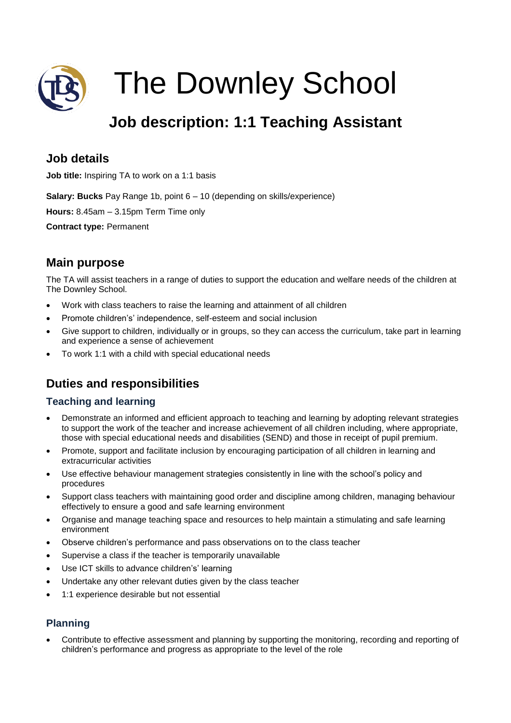

# The Downley School

# **Job description: 1:1 Teaching Assistant**

# **Job details**

**Job title:** Inspiring TA to work on a 1:1 basis

**Salary: Bucks** Pay Range 1b, point 6 – 10 (depending on skills/experience)

**Hours:** 8.45am – 3.15pm Term Time only

**Contract type:** Permanent

# **Main purpose**

The TA will assist teachers in a range of duties to support the education and welfare needs of the children at The Downley School.

- Work with class teachers to raise the learning and attainment of all children
- Promote children's' independence, self-esteem and social inclusion
- Give support to children, individually or in groups, so they can access the curriculum, take part in learning and experience a sense of achievement
- To work 1:1 with a child with special educational needs

# **Duties and responsibilities**

#### **Teaching and learning**

- Demonstrate an informed and efficient approach to teaching and learning by adopting relevant strategies to support the work of the teacher and increase achievement of all children including, where appropriate, those with special educational needs and disabilities (SEND) and those in receipt of pupil premium.
- Promote, support and facilitate inclusion by encouraging participation of all children in learning and extracurricular activities
- Use effective behaviour management strategies consistently in line with the school's policy and procedures
- Support class teachers with maintaining good order and discipline among children, managing behaviour effectively to ensure a good and safe learning environment
- Organise and manage teaching space and resources to help maintain a stimulating and safe learning environment
- Observe children's performance and pass observations on to the class teacher
- Supervise a class if the teacher is temporarily unavailable
- Use ICT skills to advance children's' learning
- Undertake any other relevant duties given by the class teacher
- 1:1 experience desirable but not essential

### **Planning**

 Contribute to effective assessment and planning by supporting the monitoring, recording and reporting of children's performance and progress as appropriate to the level of the role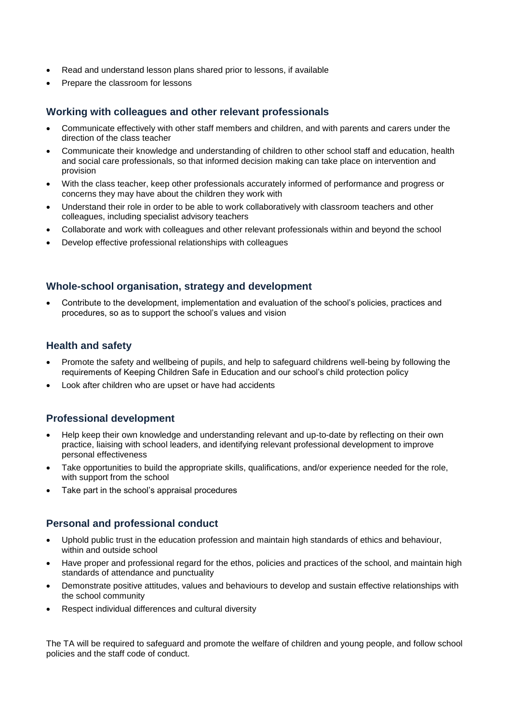- Read and understand lesson plans shared prior to lessons, if available
- Prepare the classroom for lessons

#### **Working with colleagues and other relevant professionals**

- Communicate effectively with other staff members and children, and with parents and carers under the direction of the class teacher
- Communicate their knowledge and understanding of children to other school staff and education, health and social care professionals, so that informed decision making can take place on intervention and provision
- With the class teacher, keep other professionals accurately informed of performance and progress or concerns they may have about the children they work with
- Understand their role in order to be able to work collaboratively with classroom teachers and other colleagues, including specialist advisory teachers
- Collaborate and work with colleagues and other relevant professionals within and beyond the school
- Develop effective professional relationships with colleagues

#### **Whole-school organisation, strategy and development**

 Contribute to the development, implementation and evaluation of the school's policies, practices and procedures, so as to support the school's values and vision

#### **Health and safety**

- Promote the safety and wellbeing of pupils, and help to safeguard childrens well-being by following the requirements of Keeping Children Safe in Education and our school's child protection policy
- Look after children who are upset or have had accidents

#### **Professional development**

- Help keep their own knowledge and understanding relevant and up-to-date by reflecting on their own practice, liaising with school leaders, and identifying relevant professional development to improve personal effectiveness
- Take opportunities to build the appropriate skills, qualifications, and/or experience needed for the role, with support from the school
- Take part in the school's appraisal procedures

#### **Personal and professional conduct**

- Uphold public trust in the education profession and maintain high standards of ethics and behaviour, within and outside school
- Have proper and professional regard for the ethos, policies and practices of the school, and maintain high standards of attendance and punctuality
- Demonstrate positive attitudes, values and behaviours to develop and sustain effective relationships with the school community
- Respect individual differences and cultural diversity

The TA will be required to safeguard and promote the welfare of children and young people, and follow school policies and the staff code of conduct.